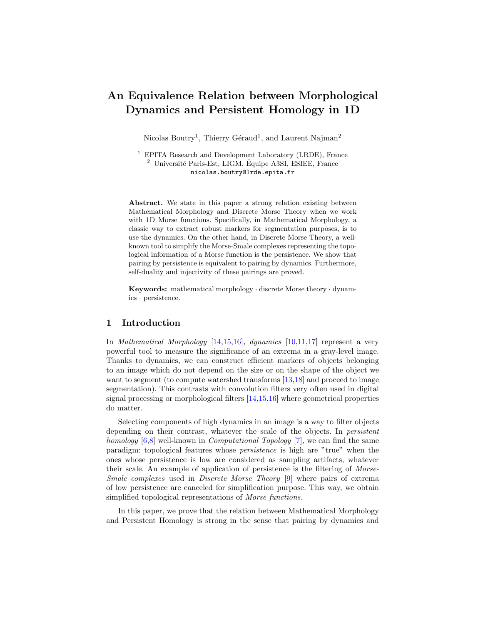# An Equivalence Relation between Morphological Dynamics and Persistent Homology in 1D

Nicolas Boutry<sup>1</sup>, Thierry Géraud<sup>1</sup>, and Laurent Najman<sup>2</sup>

<sup>1</sup> EPITA Research and Development Laboratory (LRDE), France  $^2$  Université Paris-Est, LIGM, Équipe A3SI, ESIEE, France nicolas.boutry@lrde.epita.fr

Abstract. We state in this paper a strong relation existing between Mathematical Morphology and Discrete Morse Theory when we work with 1D Morse functions. Specifically, in Mathematical Morphology, a classic way to extract robust markers for segmentation purposes, is to use the dynamics. On the other hand, in Discrete Morse Theory, a wellknown tool to simplify the Morse-Smale complexes representing the topological information of a Morse function is the persistence. We show that pairing by persistence is equivalent to pairing by dynamics. Furthermore, self-duality and injectivity of these pairings are proved.

Keywords: mathematical morphology · discrete Morse theory · dynamics · persistence.

# 1 Introduction

In Mathematical Morphology [\[14](#page-11-0)[,15,](#page-11-1)[16\]](#page-11-2), dynamics [\[10,](#page-11-3)[11,](#page-11-4)[17\]](#page-11-5) represent a very powerful tool to measure the significance of an extrema in a gray-level image. Thanks to dynamics, we can construct efficient markers of objects belonging to an image which do not depend on the size or on the shape of the object we want to segment (to compute watershed transforms [\[13,](#page-11-6)[18\]](#page-11-7) and proceed to image segmentation). This contrasts with convolution filters very often used in digital signal processing or morphological filters [\[14,](#page-11-0)[15,](#page-11-1)[16\]](#page-11-2) where geometrical properties do matter.

Selecting components of high dynamics in an image is a way to filter objects depending on their contrast, whatever the scale of the objects. In persistent homology [\[6,](#page-11-8)[8\]](#page-11-9) well-known in *Computational Topology* [\[7\]](#page-11-10), we can find the same paradigm: topological features whose persistence is high are "true" when the ones whose persistence is low are considered as sampling artifacts, whatever their scale. An example of application of persistence is the filtering of Morse-Smale complexes used in Discrete Morse Theory [\[9\]](#page-11-11) where pairs of extrema of low persistence are canceled for simplification purpose. This way, we obtain simplified topological representations of *Morse functions*.

In this paper, we prove that the relation between Mathematical Morphology and Persistent Homology is strong in the sense that pairing by dynamics and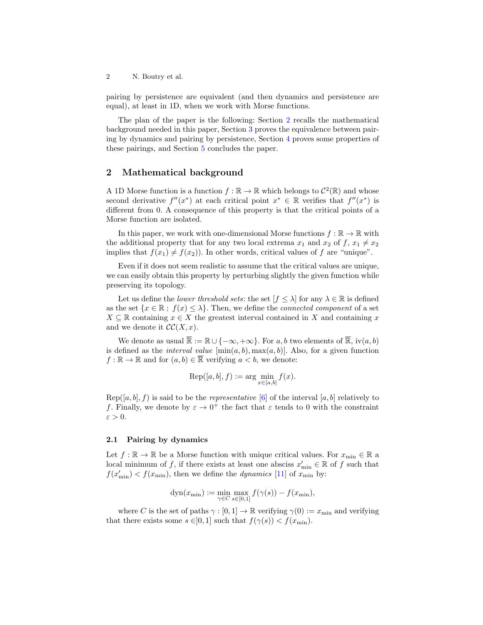pairing by persistence are equivalent (and then dynamics and persistence are equal), at least in 1D, when we work with Morse functions.

The plan of the paper is the following: Section [2](#page-1-0) recalls the mathematical background needed in this paper, Section [3](#page-3-0) proves the equivalence between pairing by dynamics and pairing by persistence, Section [4](#page-8-0) proves some properties of these pairings, and Section [5](#page-10-0) concludes the paper.

## <span id="page-1-0"></span>2 Mathematical background

A 1D Morse function is a function  $f : \mathbb{R} \to \mathbb{R}$  which belongs to  $\mathcal{C}^2(\mathbb{R})$  and whose second derivative  $f''(x^*)$  at each critical point  $x^* \in \mathbb{R}$  verifies that  $f''(x^*)$  is different from 0. A consequence of this property is that the critical points of a Morse function are isolated.

In this paper, we work with one-dimensional Morse functions  $f:\mathbb{R}\to\mathbb{R}$  with the additional property that for any two local extrema  $x_1$  and  $x_2$  of  $f, x_1 \neq x_2$ implies that  $f(x_1) \neq f(x_2)$ ). In other words, critical values of f are "unique".

Even if it does not seem realistic to assume that the critical values are unique, we can easily obtain this property by perturbing slightly the given function while preserving its topology.

Let us define the *lower threshold sets*: the set  $[f \leq \lambda]$  for any  $\lambda \in \mathbb{R}$  is defined as the set  $\{x \in \mathbb{R} : f(x) \leq \lambda\}$ . Then, we define the *connected component* of a set  $X \subseteq \mathbb{R}$  containing  $x \in X$  the greatest interval contained in X and containing x and we denote it  $\mathcal{CC}(X, x)$ .

We denote as usual  $\overline{\mathbb{R}} := \mathbb{R} \cup \{-\infty, +\infty\}$ . For a, b two elements of  $\overline{\mathbb{R}}$ , iv $(a, b)$ is defined as the *interval value*  $[\min(a, b), \max(a, b)]$ . Also, for a given function  $f : \mathbb{R} \to \mathbb{R}$  and for  $(a, b) \in \overline{\mathbb{R}}$  verifying  $a < b$ , we denote:

$$
Rep([a, b], f) := \arg\min_{x \in [a, b]} f(x).
$$

 $\text{Rep}([a, b], f)$  is said to be the *representative* [\[6\]](#page-11-8) of the interval [a, b] relatively to f. Finally, we denote by  $\varepsilon \to 0^+$  the fact that  $\varepsilon$  tends to 0 with the constraint  $\varepsilon > 0$ .

### 2.1 Pairing by dynamics

Let  $f : \mathbb{R} \to \mathbb{R}$  be a Morse function with unique critical values. For  $x_{\min} \in \mathbb{R}$  a local minimum of f, if there exists at least one absciss  $x'_{\text{min}} \in \mathbb{R}$  of f such that  $f(x'_{\min}) < f(x_{\min})$ , then we define the *dynamics* [\[11\]](#page-11-4) of  $x_{\min}$  by:

$$
\mathrm{dyn}(x_{\min}) := \min_{\gamma \in C} \max_{s \in [0,1]} f(\gamma(s)) - f(x_{\min}),
$$

where C is the set of paths  $\gamma : [0,1] \to \mathbb{R}$  verifying  $\gamma(0) := x_{\min}$  and verifying that there exists some  $s \in ]0,1]$  such that  $f(\gamma(s)) < f(x_{\min})$ .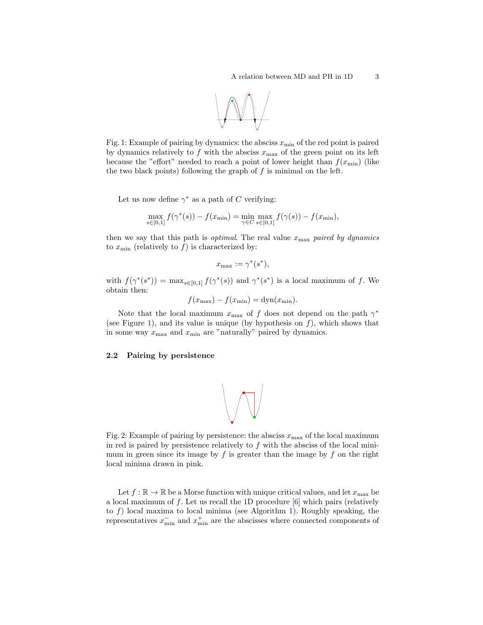

<span id="page-2-0"></span>Fig. 1: Example of pairing by dynamics: the absciss  $x_{\min}$  of the red point is paired by dynamics relatively to f with the absciss  $x_{\text{max}}$  of the green point on its left because the "effort" needed to reach a point of lower height than  $f(x_{\min})$  (like the two black points) following the graph of  $f$  is minimal on the left.

Let us now define  $\gamma^*$  as a path of C verifying:

$$
\max_{s \in [0,1]} f(\gamma^*(s)) - f(x_{\min}) = \min_{\gamma \in C} \max_{s \in [0,1]} f(\gamma(s)) - f(x_{\min}),
$$

then we say that this path is *optimal*. The real value  $x_{\text{max}}$  paired by dynamics to  $x_{\min}$  (relatively to f) is characterized by:

$$
x_{\max} := \gamma^*(s^*),
$$

with  $f(\gamma^*(s^*)) = \max_{s \in [0,1]} f(\gamma^*(s))$  and  $\gamma^*(s^*)$  is a local maximum of f. We obtain then:

 $f(x_{\text{max}}) - f(x_{\text{min}}) = \text{dyn}(x_{\text{min}}).$ 

Note that the local maximum  $x_{\text{max}}$  of f does not depend on the path  $\gamma^*$ (see Figure [1\)](#page-2-0), and its value is unique (by hypothesis on  $f$ ), which shows that in some way  $x_{\text{max}}$  and  $x_{\text{min}}$  are "naturally" paired by dynamics.

### <span id="page-2-1"></span>2.2 Pairing by persistence



Fig. 2: Example of pairing by persistence: the absciss  $x_{\text{max}}$  of the local maximum in red is paired by persistence relatively to  $f$  with the absciss of the local minimum in green since its image by  $f$  is greater than the image by  $f$  on the right local minima drawn in pink.

Let  $f : \mathbb{R} \to \mathbb{R}$  be a Morse function with unique critical values, and let  $x_{\text{max}}$  be a local maximum of f. Let us recall the 1D procedure  $\lceil 6 \rceil$  which pairs (relatively to  $f$ ) local maxima to local minima (see Algorithm [1\)](#page-3-1). Roughly speaking, the representatives  $x_{\min}^-$  and  $x_{\min}^+$  are the abscisses where connected components of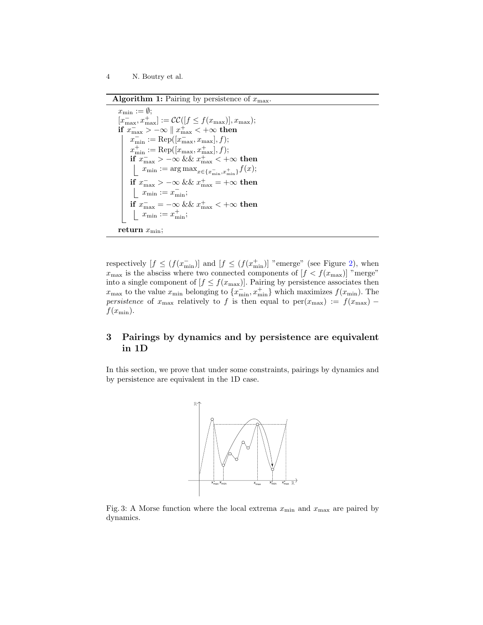Algorithm 1: Pairing by persistence of  $x_{\text{max}}$ .

<span id="page-3-1"></span> $x_{\min} := \emptyset;$  $[x_{\text{max}}^-, x_{\text{max}}^+] := \mathcal{CC}([f \le f(x_{\text{max}})], x_{\text{max}});$ if  $x_{\text{max}}^- > -\infty \parallel x_{\text{max}}^+ < +\infty$  then  $x_{\min}^{-} := \text{Rep}([x_{\max}^-, x_{\max}], f);$  $x_{\min}^+ := \text{Rep}([x_{\max}, x_{\max}^+], f);$  $\mathop{\text{if}}~ x_{\text{max}}^- > -\infty ~\&\&~ x_{\text{max}}^+ < +\infty ~\text{then}$  $x_{\min} := \argmax_{x \in \{x_{\min}^-, x_{\min}^+\}} f(x);$ if  $x_{\text{max}}^- > -\infty$  &&  $x_{\text{max}}^+ = +\infty$  then  $x_{\min} := x_{\min}^-;$ if  $x_{\text{max}}^- = -\infty$  &&  $x_{\text{max}}^+ < +\infty$  then  $x_{\min} := x_{\min}^+;$ return  $x_{\min}$ ;

respectively  $[f \leq (f(x_{\min}^{-})]$  and  $[f \leq (f(x_{\min}^{+}))$  "emerge" (see Figure [2\)](#page-2-1), when  $x_{\text{max}}$  is the absciss where two connected components of  $[f < f(x_{\text{max}})]$  "merge" into a single component of  $[f \leq f(x_{\text{max}})]$ . Pairing by persistence associates then  $x_{\text{max}}$  to the value  $x_{\text{min}}$  belonging to  $\{\overline{x_{\text{min}}}^-, \overline{x_{\text{min}}^+}\}$  which maximizes  $f(x_{\text{min}})$ . The persistence of  $x_{\text{max}}$  relatively to f is then equal to  $\text{per}(x_{\text{max}}) := f(x_{\text{max}})$  $f(x_{\min}).$ 

# <span id="page-3-0"></span>3 Pairings by dynamics and by persistence are equivalent in 1D

<span id="page-3-2"></span>In this section, we prove that under some constraints, pairings by dynamics and by persistence are equivalent in the 1D case.



Fig. 3: A Morse function where the local extrema  $x_{\min}$  and  $x_{\max}$  are paired by dynamics.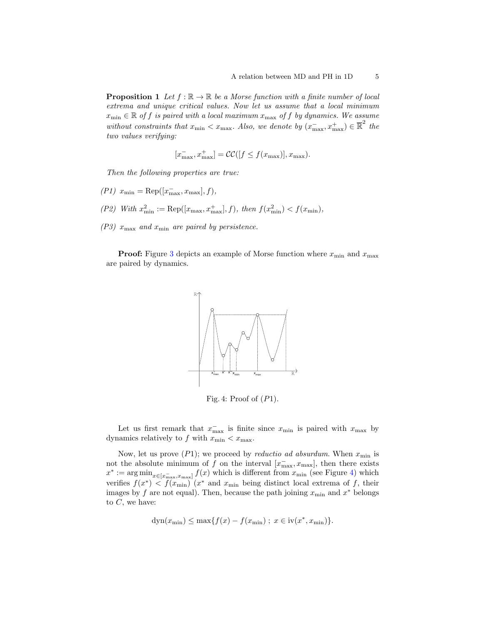<span id="page-4-1"></span>**Proposition 1** Let  $f : \mathbb{R} \to \mathbb{R}$  be a Morse function with a finite number of local extrema and unique critical values. Now let us assume that a local minimum  $x_{\min} \in \mathbb{R}$  of f is paired with a local maximum  $x_{\max}$  of f by dynamics. We assume without constraints that  $x_{\min} < x_{\max}$ . Also, we denote by  $(x_{\max}^-, x_{\max}^+) \in \mathbb{R}^2$  the two values verifying:

$$
[x_\text{max}^-, x_\text{max}^+] = \mathcal{CC}([f \le f(x_\text{max})], x_\text{max}).
$$

Then the following properties are true:

- $( P1)$   $x_{\min} = \text{Rep}([x_{\max}^-, x_{\max}], f),$
- (P2) With  $x_{\min}^2 := \text{Rep}([x_{\max}, x_{\max}^+, f), \text{ then } f(x_{\min}^2) < f(x_{\min}),$
- $(P3)$   $x_{\text{max}}$  and  $x_{\text{min}}$  are paired by persistence.

<span id="page-4-0"></span>**Proof:** Figure [3](#page-3-2) depicts an example of Morse function where  $x_{\min}$  and  $x_{\max}$ are paired by dynamics.



Fig. 4: Proof of  $(P1)$ .

Let us first remark that  $x_{\text{max}}^-$  is finite since  $x_{\text{min}}$  is paired with  $x_{\text{max}}$  by dynamics relatively to f with  $x_{\min} < x_{\max}$ .

Now, let us prove  $(P1)$ ; we proceed by *reductio ad absurdum*. When  $x_{\min}$  is not the absolute minimum of f on the interval  $[x_{\text{max}}^-, x_{\text{max}}]$ , then there exists  $x^* := \arg \min_{x \in [x_{\max}^-, x_{\max}]} f(x)$  which is different from  $x_{\min}$  (see Figure [4\)](#page-4-0) which verifies  $f(x^*)$  <  $f(x_{\text{min}})$  ( $x^*$  and  $x_{\text{min}}$  being distinct local extrema of f, their images by f are not equal). Then, because the path joining  $x_{\min}$  and  $x^*$  belongs to  $C$ , we have:

$$
dyn(x_{\min}) \le \max\{f(x) - f(x_{\min})\; ; \; x \in iv(x^*, x_{\min})\}.
$$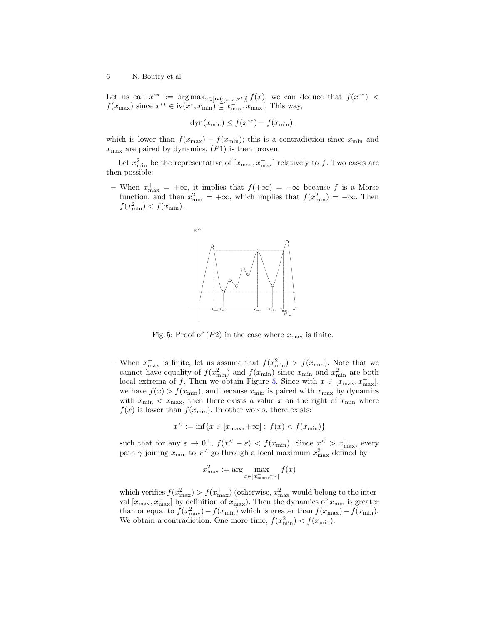Let us call  $x^{**} := \arg \max_{x \in [iv(x_{\min}, x^*)]} f(x)$ , we can deduce that  $f(x^{**})$  <  $f(x_{\text{max}})$  since  $x^{**} \in \text{iv}(x^*, x_{\text{min}}) \subseteq ]\overline{x_{\text{max}}^*}, x_{\text{max}}[$ . This way,

$$
dyn(x_{\min}) \le f(x^{**}) - f(x_{\min}),
$$

which is lower than  $f(x_{\text{max}}) - f(x_{\text{min}})$ ; this is a contradiction since  $x_{\text{min}}$  and  $x_{\text{max}}$  are paired by dynamics. (P1) is then proven.

Let  $x_{\min}^2$  be the representative of  $[x_{\max}, x_{\max}^+]$  relatively to f. Two cases are then possible:

<span id="page-5-0"></span>– When  $x_{\text{max}}^+ = +\infty$ , it implies that  $f(+\infty) = -\infty$  because f is a Morse function, and then  $x_{\min}^2 = +\infty$ , which implies that  $f(x_{\min}^2) = -\infty$ . Then  $f(x_{\min}^2) < f(x_{\min}).$ 



Fig. 5: Proof of  $(P2)$  in the case where  $x_{\text{max}}$  is finite.

- When  $x_{\text{max}}^+$  is finite, let us assume that  $f(x_{\text{min}}^2) > f(x_{\text{min}})$ . Note that we cannot have equality of  $f(x_{\min}^2)$  and  $f(x_{\min})$  since  $x_{\min}$  and  $x_{\min}^2$  are both local extrema of f. Then we obtain Figure [5.](#page-5-0) Since with  $x \in [x_{\text{max}}, x_{\text{max}}^+]$ , we have  $f(x) > f(x_{\min})$ , and because  $x_{\min}$  is paired with  $x_{\max}$  by dynamics with  $x_{\min} < x_{\max}$ , then there exists a value x on the right of  $x_{\min}$  where  $f(x)$  is lower than  $f(x_{\min})$ . In other words, there exists:

$$
x^{\leq} := \inf \{ x \in [x_{\max}, +\infty] \; ; \; f(x) < f(x_{\min}) \}
$$

such that for any  $\varepsilon \to 0^+$ ,  $f(x^{\langle} + \varepsilon) < f(x_{\min})$ . Since  $x^{\langle} > x_{\max}^+$ , every path  $\gamma$  joining  $x_{\min}$  to  $x^{\le}$  go through a local maximum  $x_{\max}^2$  defined by

$$
x_{\max}^2 := \arg\max_{x \in ]x_{\max}^+, x^{\lt} [} f(x)
$$

which verifies  $f(x_{\text{max}}^2) > f(x_{\text{max}}^+)$  (otherwise,  $x_{\text{max}}^2$  would belong to the interval  $[x_{\text{max}}, x_{\text{max}}^+]$  by definition of  $x_{\text{max}}^+$ ). Then the dynamics of  $x_{\text{min}}$  is greater than or equal to  $f(x_{\text{max}}^2) - f(x_{\text{min}})$  which is greater than  $f(x_{\text{max}}) - f(x_{\text{min}})$ . We obtain a contradiction. One more time,  $f(x_{\min}^2) < f(x_{\min})$ .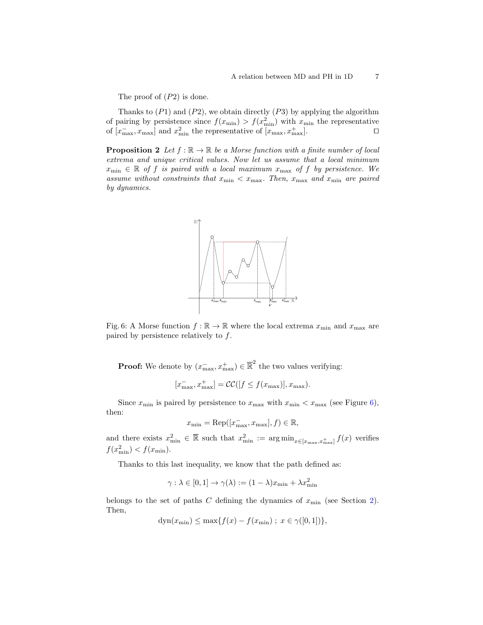The proof of (P2) is done.

Thanks to  $(P1)$  and  $(P2)$ , we obtain directly  $(P3)$  by applying the algorithm of pairing by persistence since  $f(x_{\min}) > f(x_{\min}^2)$  with  $x_{\min}$  the representative of  $[x_{\text{max}}^-, x_{\text{max}}]$  and  $x_{\text{min}}^2$  the representative of  $[x_{\text{max}}, x_{\text{max}}^+]$ .

<span id="page-6-1"></span><span id="page-6-0"></span>**Proposition 2** Let  $f : \mathbb{R} \to \mathbb{R}$  be a Morse function with a finite number of local extrema and unique critical values. Now let us assume that a local minimum  $x_{\min} \in \mathbb{R}$  of f is paired with a local maximum  $x_{\max}$  of f by persistence. We assume without constraints that  $x_{\min} < x_{\max}$ . Then,  $x_{\max}$  and  $x_{\min}$  are paired by dynamics.



Fig. 6: A Morse function  $f : \mathbb{R} \to \mathbb{R}$  where the local extrema  $x_{\text{min}}$  and  $x_{\text{max}}$  are paired by persistence relatively to  $f$ .

**Proof:** We denote by  $(x_{\text{max}}^-, x_{\text{max}}^+) \in \mathbb{R}^2$  the two values verifying:

$$
[x_{\text{max}}^-, x_{\text{max}}^+] = \mathcal{CC}([f \le f(x_{\text{max}})], x_{\text{max}}).
$$

Since  $x_{\min}$  is paired by persistence to  $x_{\max}$  with  $x_{\min} < x_{\max}$  (see Figure [6\)](#page-6-0), then:

$$
x_{\min} = \text{Rep}([x_{\max}^-, x_{\max}], f) \in \mathbb{R},
$$

and there exists  $x_{\min}^2 \in \mathbb{R}$  such that  $x_{\min}^2 := \arg \min_{x \in [x_{\max}, x_{\max}^+]} f(x)$  verifies  $f(x_{\min}^2) < f(x_{\min}).$ 

Thanks to this last inequality, we know that the path defined as:

$$
\gamma : \lambda \in [0,1] \to \gamma(\lambda) := (1-\lambda)x_{\min} + \lambda x_{\min}^2
$$

belongs to the set of paths  $C$  defining the dynamics of  $x_{\min}$  (see Section [2\)](#page-1-0). Then,

$$
dyn(x_{\min}) \le \max\{f(x) - f(x_{\min}) \; ; \; x \in \gamma([0,1])\},\
$$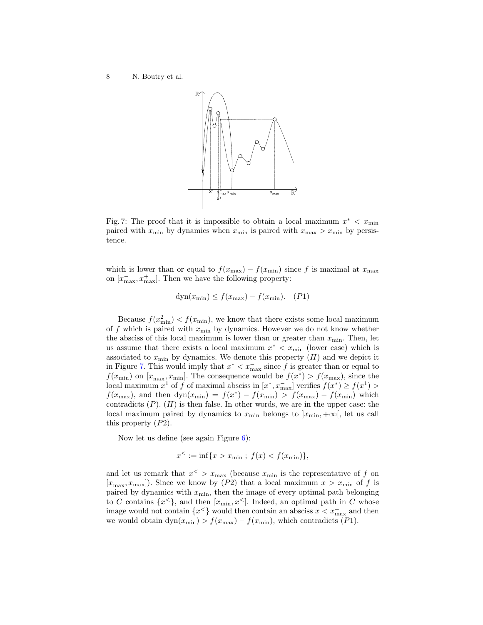<span id="page-7-0"></span>

Fig. 7: The proof that it is impossible to obtain a local maximum  $x^* < x_{\min}$ paired with  $x_{\min}$  by dynamics when  $x_{\min}$  is paired with  $x_{\max} > x_{\min}$  by persistence.

which is lower than or equal to  $f(x_{\text{max}}) - f(x_{\text{min}})$  since f is maximal at  $x_{\text{max}}$ on  $[x_{\text{max}}^-, x_{\text{max}}^+]$ . Then we have the following property:

$$
dyn(x_{\min}) \le f(x_{\max}) - f(x_{\min}). \quad (P1)
$$

Because  $f(x_{\min}^2) < f(x_{\min})$ , we know that there exists some local maximum of f which is paired with  $x_{\min}$  by dynamics. However we do not know whether the absciss of this local maximum is lower than or greater than  $x_{\min}$ . Then, let us assume that there exists a local maximum  $x^* < x_{\min}$  (lower case) which is associated to  $x_{\min}$  by dynamics. We denote this property  $(H)$  and we depict it in Figure [7.](#page-7-0) This would imply that  $x^* < x_{\text{max}}^-$  since f is greater than or equal to  $f(x_{\min})$  on  $[x_{\max}, x_{\min}]$ . The consequence would be  $f(x^*) > f(x_{\max})$ , since the local maximum  $x^1$  of f of maximal absciss in  $[x^*, x_{\text{max}}^-]$  verifies  $f(x^*) \ge f(x^1) >$  $f(x_{\text{max}})$ , and then  $dyn(x_{\text{min}}) = f(x^*) - f(x_{\text{min}}) > f(x_{\text{max}}) - f(x_{\text{min}})$  which contradicts  $(P)$ .  $(H)$  is then false. In other words, we are in the upper case: the local maximum paired by dynamics to  $x_{\min}$  belongs to  $|x_{\min}, +\infty|$ , let us call this property (P2).

Now let us define (see again Figure [6\)](#page-6-0):

$$
x^< := \inf\{x > x_{\min} \; ; \; f(x) < f(x_{\min})\},
$$

and let us remark that  $x^{\lt} > x_{\text{max}}$  (because  $x_{\text{min}}$  is the representative of f on  $[x_{\text{max}}^-, x_{\text{max}}]$ ). Since we know by (P2) that a local maximum  $x > x_{\text{min}}$  of f is paired by dynamics with  $x_{\min}$ , then the image of every optimal path belonging to C contains  $\{x^{\leq}\}\$ , and then  $[x_{\min}, x^{\leq}]$ . Indeed, an optimal path in C whose image would not contain  $\{x^{\leq}\}$  would then contain an absciss  $x < x_{\text{max}}^-$  and then we would obtain  $dyn(x_{min}) > f(x_{max}) - f(x_{min})$ , which contradicts (P1).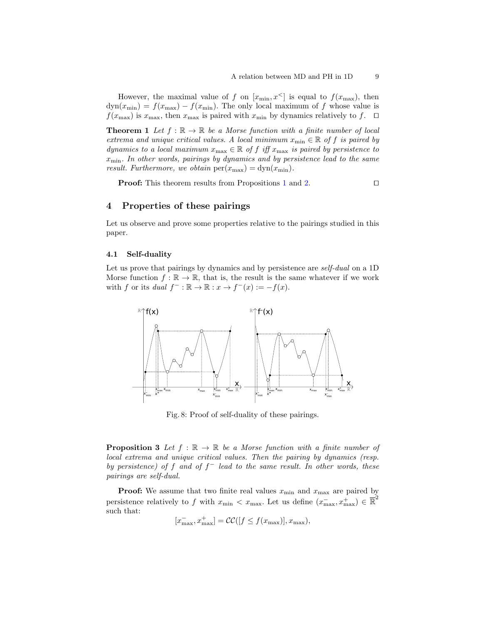However, the maximal value of f on  $[x_{\min}, x^{\leq}]$  is equal to  $f(x_{\max})$ , then  $dyn(x_{min}) = f(x_{max}) - f(x_{min})$ . The only local maximum of f whose value is  $f(x_{\text{max}})$  is  $x_{\text{max}}$ , then  $x_{\text{max}}$  is paired with  $x_{\text{min}}$  by dynamics relatively to f.  $\Box$ 

<span id="page-8-2"></span>**Theorem 1** Let  $f : \mathbb{R} \to \mathbb{R}$  be a Morse function with a finite number of local extrema and unique critical values. A local minimum  $x_{\min} \in \mathbb{R}$  of f is paired by dynamics to a local maximum  $x_{\text{max}} \in \mathbb{R}$  of f iff  $x_{\text{max}}$  is paired by persistence to  $x_{\min}$ . In other words, pairings by dynamics and by persistence lead to the same result. Furthermore, we obtain  $per(x_{\text{max}}) = dyn(x_{\text{min}})$ .

**Proof:** This theorem results from Propositions [1](#page-4-1) and [2.](#page-6-1)  $\Box$ 

### <span id="page-8-0"></span>4 Properties of these pairings

Let us observe and prove some properties relative to the pairings studied in this paper.

### 4.1 Self-duality

Let us prove that pairings by dynamics and by persistence are *self-dual* on a 1D Morse function  $f : \mathbb{R} \to \mathbb{R}$ , that is, the result is the same whatever if we work with f or its dual  $f^- : \mathbb{R} \to \mathbb{R} : x \to f^-(x) := -f(x)$ .

<span id="page-8-1"></span>

Fig. 8: Proof of self-duality of these pairings.

**Proposition 3** Let  $f : \mathbb{R} \to \mathbb{R}$  be a Morse function with a finite number of local extrema and unique critical values. Then the pairing by dynamics (resp. by persistence) of f and of  $f^-$  lead to the same result. In other words, these pairings are self-dual.

**Proof:** We assume that two finite real values  $x_{\min}$  and  $x_{\max}$  are paired by persistence relatively to f with  $x_{\min} < x_{\max}$ . Let us define  $(x_{\max}^-, x_{\max}^+) \in \overline{\mathbb{R}}^2$ such that:

$$
[x_{\max}^-, x_{\max}^+] = \mathcal{CC}([f \le f(x_{\max})], x_{\max}),
$$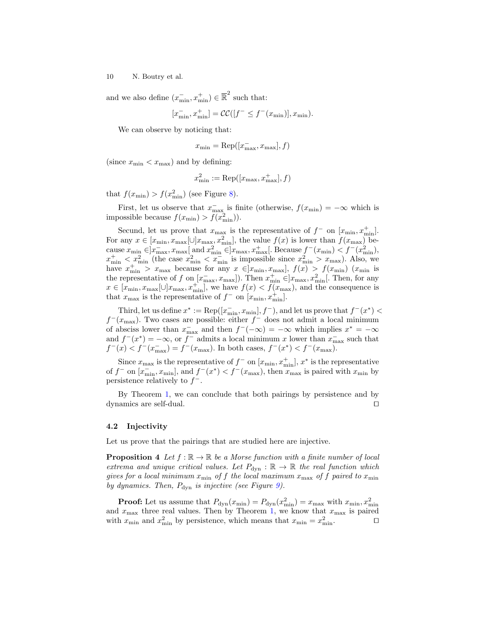and we also define  $(x_{\min}^-, x_{\min}^+) \in \mathbb{R}^2$  such that:

$$
[x_{\min}^-, x_{\min}^+] = \mathcal{CC}([f^- \le f^-(x_{\min})], x_{\min}).
$$

We can observe by noticing that:

$$
x_{\min} = \text{Rep}([x_{\max}^-, x_{\max}], f)
$$

(since  $x_{\min} < x_{\max}$ ) and by defining:

$$
x_{\min}^2 := \text{Rep}([x_{\max}, x_{\max}^+], f)
$$

that  $f(x_{\min}) > f(x_{\min}^2)$  (see Figure [8\)](#page-8-1).

First, let us observe that  $x_{\text{max}}^-$  is finite (otherwise,  $f(x_{\text{min}}) = -\infty$  which is impossible because  $f(x_{\min}) > f(x_{\min}^2)$ .

Secund, let us prove that  $x_{\text{max}}$  is the representative of  $f^-$  on  $[x_{\text{min}}, x_{\text{min}}^+]$ . For any  $x \in [x_{\min}, x_{\max}[\cup]x_{\max}, x_{\min}^2]$ , the value  $f(x)$  is lower than  $f(x_{\max})$  because  $x_{\min} \in ]x_{\max}^-, x_{\max}^-]$  and  $x_{\min}^2 \in ]x_{\max}, x_{\max}^+]$ . Because  $f^-(x_{\min}) < f^-(x_{\min}^2)$ ,  $x_{\min}^+ < x_{\min}^2$  (the case  $x_{\min}^2 < x_{\min}^-$  is impossible since  $x_{\min}^2 > x_{\max}$ ). Also, we have  $x_{\min}^+ > x_{\max}$  because for any  $x \in ]x_{\min}, x_{\max}]$ ,  $f(x) > f(x_{\min})$  ( $x_{\min}$  is the representative of f on  $[x_{\text{max}}^-, x_{\text{max}}]$ ). Then  $x_{\text{min}}^+ \in ]x_{\text{max}}, x_{\text{min}}^2]$ . Then, for any  $x \in [x_{\min}, x_{\max}[\cup]x_{\max}, x_{\min}^+]$ , we have  $f(x) < \overline{f(x_{\max})}$ , and the consequence is that  $x_{\text{max}}$  is the representative of  $f^-$  on  $[x_{\text{min}}, x_{\text{min}}^+]$ .

Third, let us define  $x^* := \text{Rep}([x_{\text{min}}^-, x_{\text{min}}], f^-)$ , and let us prove that  $f^-(x^*) <$  $f^-(x_{\text{max}})$ . Two cases are possible: either  $f^-$  does not admit a local minimum of absciss lower than  $x_{\text{max}}^-$  and then  $f^{-}(-\infty) = -\infty$  which implies  $x^* = -\infty$ and  $f^-(x^*) = -\infty$ , or  $f^-$  admits a local minimum x lower than  $x_{\text{max}}^-$  such that  $f^-(x) < f^-(x^-_{\text{max}}) = f^-(x_{\text{max}})$ . In both cases,  $f^-(x^*) < f^-(x_{\text{max}})$ .

Since  $x_{\text{max}}$  is the representative of  $f^-$  on  $[x_{\text{min}}, x_{\text{min}}^+]$ ,  $x^*$  is the representative of  $f^-$  on  $[x_{\min}^-, x_{\min}]$ , and  $f^-(x^*) < f^-(x_{\max})$ , then  $x_{\max}$  is paired with  $x_{\min}$  by persistence relatively to  $f^-$ .

By Theorem [1,](#page-8-2) we can conclude that both pairings by persistence and by dynamics are self-dual.  $\Box$ 

### 4.2 Injectivity

Let us prove that the pairings that are studied here are injective.

**Proposition 4** Let  $f : \mathbb{R} \to \mathbb{R}$  be a Morse function with a finite number of local extrema and unique critical values. Let  $P_{dyn}$ :  $\mathbb{R} \to \mathbb{R}$  the real function which gives for a local minimum  $x_{\min}$  of f the local maximum  $x_{\max}$  of f paired to  $x_{\min}$ by dynamics. Then,  $P_{\text{dyn}}$  is injective (see Figure [9\)](#page-10-1).

**Proof:** Let us assume that  $P_{\text{dyn}}(x_{\text{min}}) = P_{\text{dyn}}(x_{\text{min}}^2) = x_{\text{max}}$  with  $x_{\text{min}}$ ,  $x_{\text{min}}^2$ and  $x_{\text{max}}$  three real values. Then by Theorem [1,](#page-8-2) we know that  $x_{\text{max}}$  is paired with  $x_{\min}$  and  $x_{\min}^2$  by persistence, which means that  $x_{\min} = x_{\min}^2$ .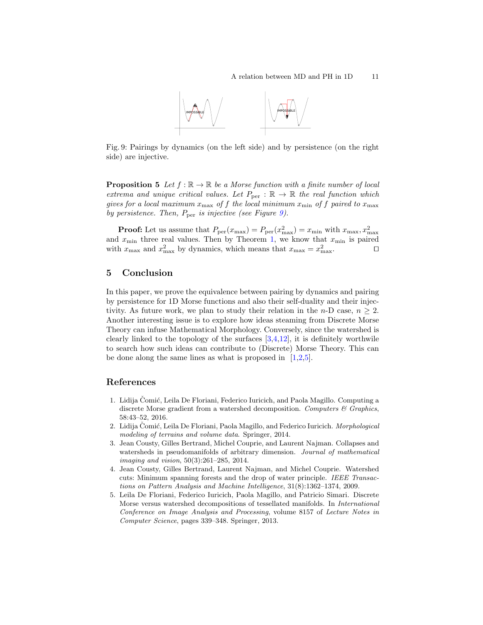

<span id="page-10-1"></span>Fig. 9: Pairings by dynamics (on the left side) and by persistence (on the right side) are injective.

**Proposition 5** Let  $f : \mathbb{R} \to \mathbb{R}$  be a Morse function with a finite number of local extrema and unique critical values. Let  $P_{\text{per}} : \mathbb{R} \to \mathbb{R}$  the real function which gives for a local maximum  $x_{\text{max}}$  of f the local minimum  $x_{\text{min}}$  of f paired to  $x_{\text{max}}$ by persistence. Then,  $P_{\text{per}}$  is injective (see Figure [9\)](#page-10-1).

**Proof:** Let us assume that  $P_{\text{per}}(x_{\text{max}}) = P_{\text{per}}(x_{\text{max}}^2) = x_{\text{min}}$  with  $x_{\text{max}}$ ,  $x_{\text{max}}^2$ and  $x_{\min}$  three real values. Then by Theorem [1,](#page-8-2) we know that  $x_{\min}$  is paired with  $x_{\text{max}}$  and  $x_{\text{max}}^2$  by dynamics, which means that  $x_{\text{max}} = x_{\text{max}}^2$ .

# <span id="page-10-0"></span>5 Conclusion

In this paper, we prove the equivalence between pairing by dynamics and pairing by persistence for 1D Morse functions and also their self-duality and their injectivity. As future work, we plan to study their relation in the n-D case,  $n \geq 2$ . Another interesting issue is to explore how ideas steaming from Discrete Morse Theory can infuse Mathematical Morphology. Conversely, since the watershed is clearly linked to the topology of the surfaces  $[3,4,12]$  $[3,4,12]$  $[3,4,12]$ , it is definitely worthwile to search how such ideas can contribute to (Discrete) Morse Theory. This can be done along the same lines as what is proposed in  $[1,2,5]$  $[1,2,5]$  $[1,2,5]$ .

### References

- <span id="page-10-4"></span>1. Lidija Čomić, Leila De Floriani, Federico Iuricich, and Paola Magillo. Computing a discrete Morse gradient from a watershed decomposition. Computers  $\mathcal C$  Graphics, 58:43–52, 2016.
- <span id="page-10-5"></span>2. Lidija Čomić, Leila De Floriani, Paola Magillo, and Federico Iuricich. *Morphological* modeling of terrains and volume data. Springer, 2014.
- <span id="page-10-2"></span>3. Jean Cousty, Gilles Bertrand, Michel Couprie, and Laurent Najman. Collapses and watersheds in pseudomanifolds of arbitrary dimension. Journal of mathematical imaging and vision, 50(3):261–285, 2014.
- <span id="page-10-3"></span>4. Jean Cousty, Gilles Bertrand, Laurent Najman, and Michel Couprie. Watershed cuts: Minimum spanning forests and the drop of water principle. IEEE Transactions on Pattern Analysis and Machine Intelligence, 31(8):1362–1374, 2009.
- <span id="page-10-6"></span>5. Leila De Floriani, Federico Iuricich, Paola Magillo, and Patricio Simari. Discrete Morse versus watershed decompositions of tessellated manifolds. In International Conference on Image Analysis and Processing, volume 8157 of Lecture Notes in Computer Science, pages 339–348. Springer, 2013.